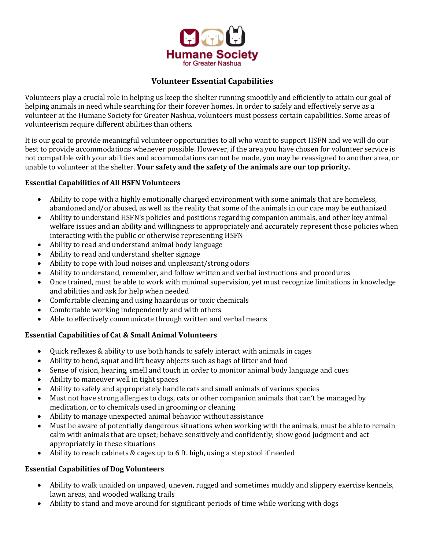

## **Volunteer Essential Capabilities**

Volunteers play a crucial role in helping us keep the shelter running smoothly and efficiently to attain our goal of helping animals in need while searching for their forever homes. In order to safely and effectively serve as a volunteer at the Humane Society for Greater Nashua, volunteers must possess certain capabilities. Some areas of volunteerism require different abilities than others.

It is our goal to provide meaningful volunteer opportunities to all who want to support HSFN and we will do our best to provide accommodations whenever possible. However, if the area you have chosen for volunteer service is not compatible with your abilities and accommodations cannot be made, you may be reassigned to another area, or unable to volunteer at the shelter. **Your safety and the safety of the animals are our top priority.**

## **Essential Capabilities of All HSFN Volunteers**

- Ability to cope with a highly emotionally charged environment with some animals that are homeless, abandoned and/or abused, as well as the reality that some of the animals in our care may be euthanized
- Ability to understand HSFN's policies and positions regarding companion animals, and other key animal welfare issues and an ability and willingness to appropriately and accurately represent those policies when interacting with the public or otherwise representing HSFN
- Ability to read and understand animal body language
- Ability to read and understand shelter signage
- Ability to cope with loud noises and unpleasant/strong odors
- Ability to understand, remember, and follow written and verbal instructions and procedures
- Once trained, must be able to work with minimal supervision, yet must recognize limitations in knowledge and abilities and ask for help when needed
- Comfortable cleaning and using hazardous or toxic chemicals
- Comfortable working independently and with others
- Able to effectively communicate through written and verbal means

## **Essential Capabilities of Cat & Small Animal Volunteers**

- Quick reflexes & ability to use both hands to safely interact with animals in cages
- Ability to bend, squat and lift heavy objects such as bags of litter and food
- Sense of vision, hearing, smell and touch in order to monitor animal body language and cues
- Ability to maneuver well in tight spaces
- Ability to safely and appropriately handle cats and small animals of various species
- Must not have strong allergies to dogs, cats or other companion animals that can't be managed by medication, or to chemicals used in grooming or cleaning
- Ability to manage unexpected animal behavior without assistance
- Must be aware of potentially dangerous situations when working with the animals, must be able to remain calm with animals that are upset; behave sensitively and confidently; show good judgment and act appropriately in these situations
- Ability to reach cabinets & cages up to 6 ft. high, using a step stool if needed

## **Essential Capabilities of Dog Volunteers**

- Ability to walk unaided on unpaved, uneven, rugged and sometimes muddy and slippery exercise kennels, lawn areas, and wooded walking trails
- Ability to stand and move around for significant periods of time while working with dogs